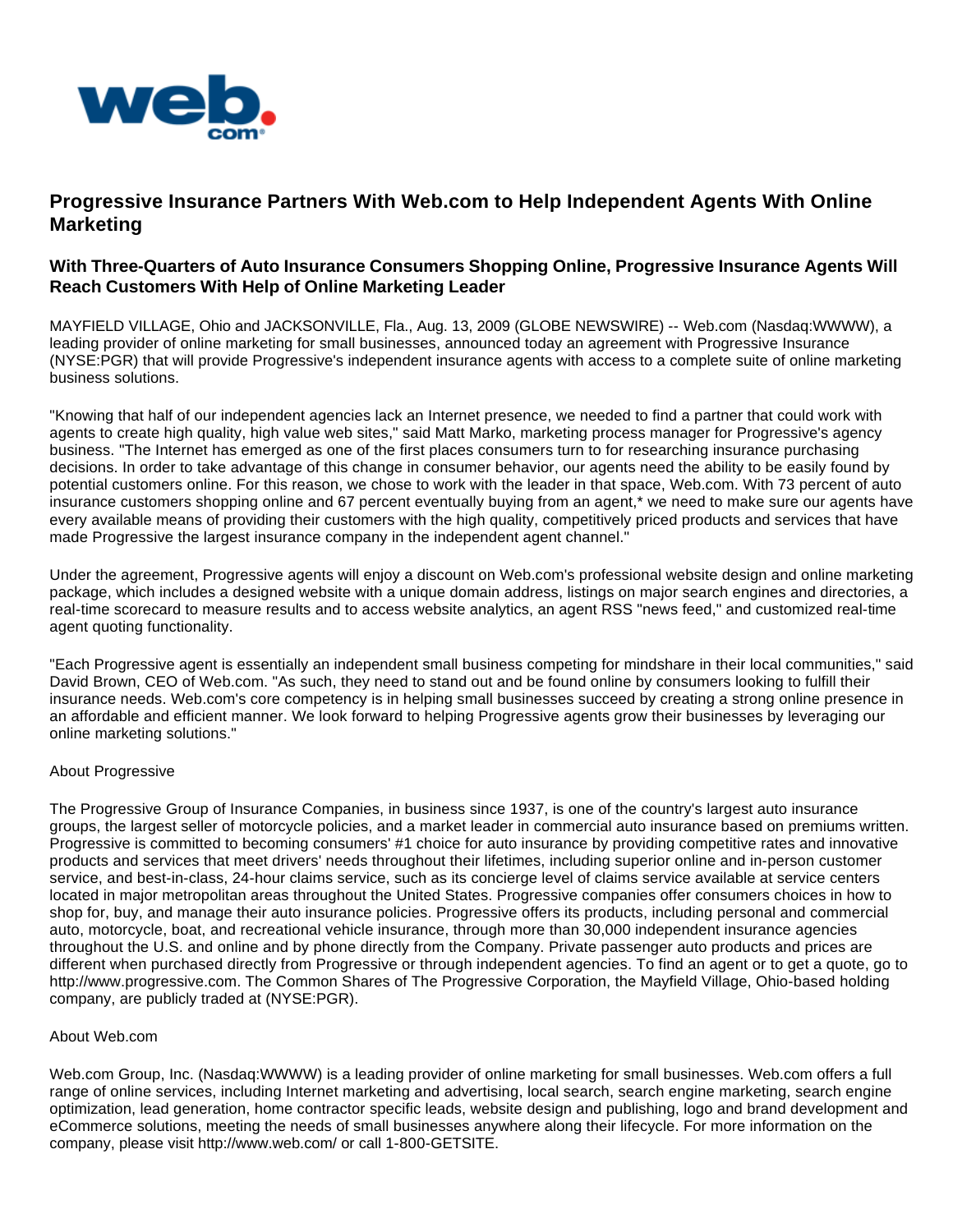

## **Progressive Insurance Partners With Web.com to Help Independent Agents With Online Marketing**

## **With Three-Quarters of Auto Insurance Consumers Shopping Online, Progressive Insurance Agents Will Reach Customers With Help of Online Marketing Leader**

MAYFIELD VILLAGE, Ohio and JACKSONVILLE, Fla., Aug. 13, 2009 (GLOBE NEWSWIRE) -- Web.com (Nasdaq:WWWW), a leading provider of online marketing for small businesses, announced today an agreement with Progressive Insurance (NYSE:PGR) that will provide Progressive's independent insurance agents with access to a complete suite of online marketing business solutions.

"Knowing that half of our independent agencies lack an Internet presence, we needed to find a partner that could work with agents to create high quality, high value web sites," said Matt Marko, marketing process manager for Progressive's agency business. "The Internet has emerged as one of the first places consumers turn to for researching insurance purchasing decisions. In order to take advantage of this change in consumer behavior, our agents need the ability to be easily found by potential customers online. For this reason, we chose to work with the leader in that space, Web.com. With 73 percent of auto insurance customers shopping online and 67 percent eventually buying from an agent,\* we need to make sure our agents have every available means of providing their customers with the high quality, competitively priced products and services that have made Progressive the largest insurance company in the independent agent channel."

Under the agreement, Progressive agents will enjoy a discount on Web.com's professional website design and online marketing package, which includes a designed website with a unique domain address, listings on major search engines and directories, a real-time scorecard to measure results and to access website analytics, an agent RSS "news feed," and customized real-time agent quoting functionality.

"Each Progressive agent is essentially an independent small business competing for mindshare in their local communities," said David Brown, CEO of Web.com. "As such, they need to stand out and be found online by consumers looking to fulfill their insurance needs. Web.com's core competency is in helping small businesses succeed by creating a strong online presence in an affordable and efficient manner. We look forward to helping Progressive agents grow their businesses by leveraging our online marketing solutions."

## About Progressive

The Progressive Group of Insurance Companies, in business since 1937, is one of the country's largest auto insurance groups, the largest seller of motorcycle policies, and a market leader in commercial auto insurance based on premiums written. Progressive is committed to becoming consumers' #1 choice for auto insurance by providing competitive rates and innovative products and services that meet drivers' needs throughout their lifetimes, including superior online and in-person customer service, and best-in-class, 24-hour claims service, such as its concierge level of claims service available at service centers located in major metropolitan areas throughout the United States. Progressive companies offer consumers choices in how to shop for, buy, and manage their auto insurance policies. Progressive offers its products, including personal and commercial auto, motorcycle, boat, and recreational vehicle insurance, through more than 30,000 independent insurance agencies throughout the U.S. and online and by phone directly from the Company. Private passenger auto products and prices are different when purchased directly from Progressive or through independent agencies. To find an agent or to get a quote, go to http://www.progressive.com. The Common Shares of The Progressive Corporation, the Mayfield Village, Ohio-based holding company, are publicly traded at (NYSE:PGR).

## About Web.com

Web.com Group, Inc. (Nasdaq:WWWW) is a leading provider of online marketing for small businesses. Web.com offers a full range of online services, including Internet marketing and advertising, local search, search engine marketing, search engine optimization, lead generation, home contractor specific leads, website design and publishing, logo and brand development and eCommerce solutions, meeting the needs of small businesses anywhere along their lifecycle. For more information on the company, please visit http://www.web.com/ or call 1-800-GETSITE.